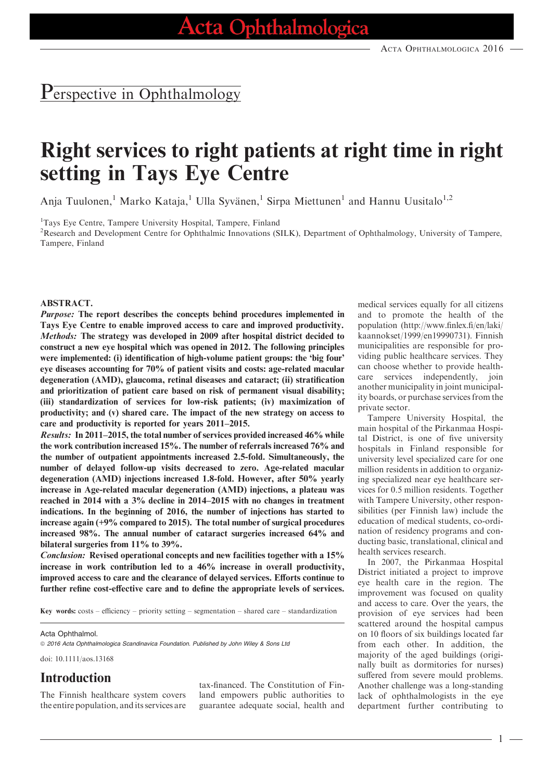## Perspective in Ophthalmology

# Right services to right patients at right time in right setting in Tays Eye Centre

Anja Tuulonen,<sup>1</sup> Marko Kataja,<sup>1</sup> Ulla Syvänen,<sup>1</sup> Sirpa Miettunen<sup>1</sup> and Hannu Uusitalo<sup>1,2</sup>

<sup>1</sup>Tays Eye Centre, Tampere University Hospital, Tampere, Finland

<sup>2</sup>Research and Development Centre for Ophthalmic Innovations (SILK), Department of Ophthalmology, University of Tampere, Tampere, Finland

#### ABSTRACT.

Purpose: The report describes the concepts behind procedures implemented in Tays Eye Centre to enable improved access to care and improved productivity. Methods: The strategy was developed in 2009 after hospital district decided to construct a new eye hospital which was opened in 2012. The following principles were implemented: (i) identification of high-volume patient groups: the 'big four' eye diseases accounting for 70% of patient visits and costs: age-related macular degeneration (AMD), glaucoma, retinal diseases and cataract; (ii) stratification and prioritization of patient care based on risk of permanent visual disability; (iii) standardization of services for low-risk patients; (iv) maximization of productivity; and (v) shared care. The impact of the new strategy on access to care and productivity is reported for years 2011–2015.

Results: In 2011–2015, the total number of services provided increased 46% while the work contribution increased 15%. The number of referrals increased 76% and the number of outpatient appointments increased 2.5-fold. Simultaneously, the number of delayed follow-up visits decreased to zero. Age-related macular degeneration (AMD) injections increased 1.8-fold. However, after 50% yearly increase in Age-related macular degeneration (AMD) injections, a plateau was reached in 2014 with a 3% decline in 2014–2015 with no changes in treatment indications. In the beginning of 2016, the number of injections has started to increase again (+9% compared to 2015). The total number of surgical procedures increased 98%. The annual number of cataract surgeries increased 64% and bilateral surgeries from 11% to 39%.

Conclusion: Revised operational concepts and new facilities together with a 15% increase in work contribution led to a 46% increase in overall productivity, improved access to care and the clearance of delayed services. Efforts continue to further refine cost-effective care and to define the appropriate levels of services.

Key words:  $costs$  – efficiency – priority setting – segmentation – shared care – standardization

#### Acta Ophthalmol.

© 2016 Acta Ophthalmologica Scandinavica Foundation. Published by John Wiley & Sons Ltd

doi: 10.1111/aos.13168

### Introduction

The Finnish healthcare system covers the entire population, and its services are tax-financed. The Constitution of Finland empowers public authorities to guarantee adequate social, health and medical services equally for all citizens and to promote the health of the population ([http://www.finlex.fi/en/laki/](http://www.finlex.fi/en/laki/kaannokset/1999/en19990731) [kaannokset/1999/en19990731\)](http://www.finlex.fi/en/laki/kaannokset/1999/en19990731). Finnish municipalities are responsible for providing public healthcare services. They can choose whether to provide healthcare services independently, join another municipality in joint municipality boards, or purchase services from the private sector.

Tampere University Hospital, the main hospital of the Pirkanmaa Hospital District, is one of five university hospitals in Finland responsible for university level specialized care for one million residents in addition to organizing specialized near eye healthcare services for 0.5 million residents. Together with Tampere University, other responsibilities (per Finnish law) include the education of medical students, co-ordination of residency programs and conducting basic, translational, clinical and health services research.

In 2007, the Pirkanmaa Hospital District initiated a project to improve eye health care in the region. The improvement was focused on quality and access to care. Over the years, the provision of eye services had been scattered around the hospital campus on 10 floors of six buildings located far from each other. In addition, the majority of the aged buildings (originally built as dormitories for nurses) suffered from severe mould problems. Another challenge was a long-standing lack of ophthalmologists in the eye department further contributing to

1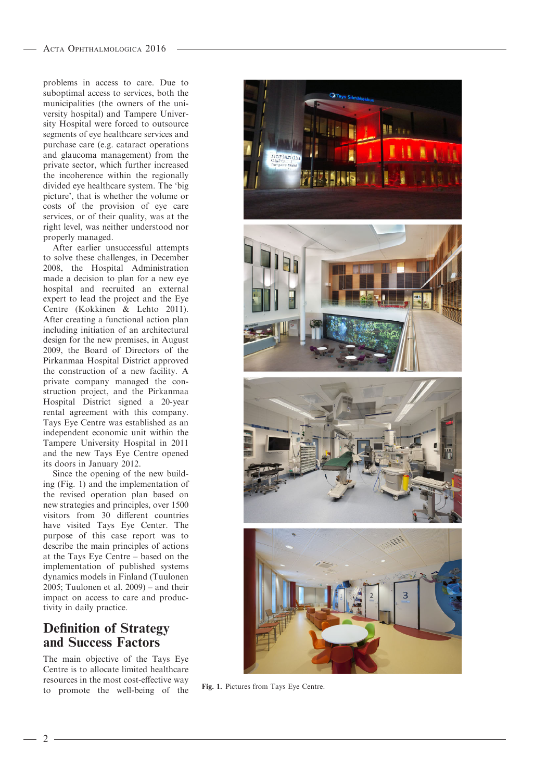problems in access to care. Due to suboptimal access to services, both the municipalities (the owners of the university hospital) and Tampere University Hospital were forced to outsource segments of eye healthcare services and purchase care (e.g. cataract operations and glaucoma management) from the private sector, which further increased the incoherence within the regionally divided eye healthcare system. The 'big picture', that is whether the volume or costs of the provision of eye care services, or of their quality, was at the right level, was neither understood nor properly managed.

After earlier unsuccessful attempts to solve these challenges, in December 2008, the Hospital Administration made a decision to plan for a new eye hospital and recruited an external expert to lead the project and the Eye Centre (Kokkinen & Lehto 2011). After creating a functional action plan including initiation of an architectural design for the new premises, in August 2009, the Board of Directors of the Pirkanmaa Hospital District approved the construction of a new facility. A private company managed the construction project, and the Pirkanmaa Hospital District signed a 20-year rental agreement with this company. Tays Eye Centre was established as an independent economic unit within the Tampere University Hospital in 2011 and the new Tays Eye Centre opened its doors in January 2012.

Since the opening of the new building (Fig. 1) and the implementation of the revised operation plan based on new strategies and principles, over 1500 visitors from 30 different countries have visited Tays Eye Center. The purpose of this case report was to describe the main principles of actions at the Tays Eye Centre – based on the implementation of published systems dynamics models in Finland (Tuulonen 2005; Tuulonen et al. 2009) – and their impact on access to care and productivity in daily practice.

### Definition of Strategy and Success Factors

The main objective of the Tays Eye Centre is to allocate limited healthcare resources in the most cost-effective way to promote the well-being of the Fig. 1. Pictures from Tays Eye Centre.

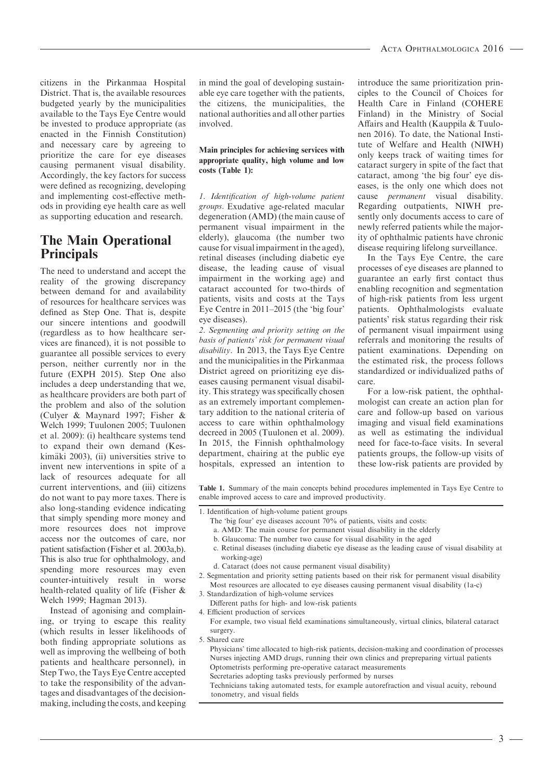citizens in the Pirkanmaa Hospital District. That is, the available resources budgeted yearly by the municipalities available to the Tays Eye Centre would be invested to produce appropriate (as enacted in the Finnish Constitution) and necessary care by agreeing to prioritize the care for eye diseases causing permanent visual disability. Accordingly, the key factors for success were defined as recognizing, developing and implementing cost-effective methods in providing eye health care as well as supporting education and research.

### The Main Operational Principals

The need to understand and accept the reality of the growing discrepancy between demand for and availability of resources for healthcare services was defined as Step One. That is, despite our sincere intentions and goodwill (regardless as to how healthcare services are financed), it is not possible to guarantee all possible services to every person, neither currently nor in the future (EXPH 2015). Step One also includes a deep understanding that we, as healthcare providers are both part of the problem and also of the solution (Culyer & Maynard 1997; Fisher & Welch 1999; Tuulonen 2005; Tuulonen et al. 2009): (i) healthcare systems tend to expand their own demand (Keskimäki 2003), (ii) universities strive to invent new interventions in spite of a lack of resources adequate for all current interventions, and (iii) citizens do not want to pay more taxes. There is also long-standing evidence indicating that simply spending more money and more resources does not improve access nor the outcomes of care, nor patient satisfaction (Fisher et al. 2003a,b). This is also true for ophthalmology, and spending more resources may even counter-intuitively result in worse health-related quality of life (Fisher & Welch 1999; Hagman 2013).

Instead of agonising and complaining, or trying to escape this reality (which results in lesser likelihoods of both finding appropriate solutions as well as improving the wellbeing of both patients and healthcare personnel), in Step Two, the Tays Eye Centre accepted to take the responsibility of the advantages and disadvantages of the decisionmaking, including the costs, and keeping

in mind the goal of developing sustainable eye care together with the patients, the citizens, the municipalities, the national authorities and all other parties involved.

#### Main principles for achieving services with appropriate quality, high volume and low costs (Table 1):

1. Identification of high-volume patient groups. Exudative age-related macular degeneration (AMD) (the main cause of permanent visual impairment in the elderly), glaucoma (the number two cause for visual impairment in the aged), retinal diseases (including diabetic eye disease, the leading cause of visual impairment in the working age) and cataract accounted for two-thirds of patients, visits and costs at the Tays Eye Centre in 2011–2015 (the 'big four' eye diseases).

2. Segmenting and priority setting on the basis of patients' risk for permanent visual disability. In 2013, the Tays Eye Centre and the municipalities in the Pirkanmaa District agreed on prioritizing eye diseases causing permanent visual disability. This strategy was specifically chosen as an extremely important complementary addition to the national criteria of access to care within ophthalmology decreed in 2005 (Tuulonen et al. 2009). In 2015, the Finnish ophthalmology department, chairing at the public eye hospitals, expressed an intention to introduce the same prioritization principles to the Council of Choices for Health Care in Finland (COHERE Finland) in the Ministry of Social Affairs and Health (Kauppila & Tuulonen 2016). To date, the National Institute of Welfare and Health (NIWH) only keeps track of waiting times for cataract surgery in spite of the fact that cataract, among 'the big four' eye diseases, is the only one which does not cause permanent visual disability. Regarding outpatients, NIWH presently only documents access to care of newly referred patients while the majority of ophthalmic patients have chronic disease requiring lifelong surveillance.

In the Tays Eye Centre, the care processes of eye diseases are planned to guarantee an early first contact thus enabling recognition and segmentation of high-risk patients from less urgent patients. Ophthalmologists evaluate patients' risk status regarding their risk of permanent visual impairment using referrals and monitoring the results of patient examinations. Depending on the estimated risk, the process follows standardized or individualized paths of care.

For a low-risk patient, the ophthalmologist can create an action plan for care and follow-up based on various imaging and visual field examinations as well as estimating the individual need for face-to-face visits. In several patients groups, the follow-up visits of these low-risk patients are provided by

Table 1. Summary of the main concepts behind procedures implemented in Tays Eye Centre to enable improved access to care and improved productivity.

- 1. Identification of high-volume patient groups
	- The 'big four' eye diseases account 70% of patients, visits and costs:
	- a. AMD: The main course for permanent visual disability in the elderly
	- b. Glaucoma: The number two cause for visual disability in the aged
	- c. Retinal diseases (including diabetic eye disease as the leading cause of visual disability at working-age)
	- d. Cataract (does not cause permanent visual disability)
- 2. Segmentation and priority setting patients based on their risk for permanent visual disability Most resources are allocated to eye diseases causing permanent visual disability (1a-c)
- 3. Standardization of high-volume services
- Different paths for high- and low-risk patients
- 4. Efficient production of services
- For example, two visual field examinations simultaneously, virtual clinics, bilateral cataract surgery.
- 5. Shared care
	- Physicians' time allocated to high-risk patients, decision-making and coordination of processes Nurses injecting AMD drugs, running their own clinics and prepreparing virtual patients Optometrists performing pre-operative cataract measurements Secretaries adopting tasks previously performed by nurses

Technicians taking automated tests, for example autorefraction and visual acuity, rebound tonometry, and visual fields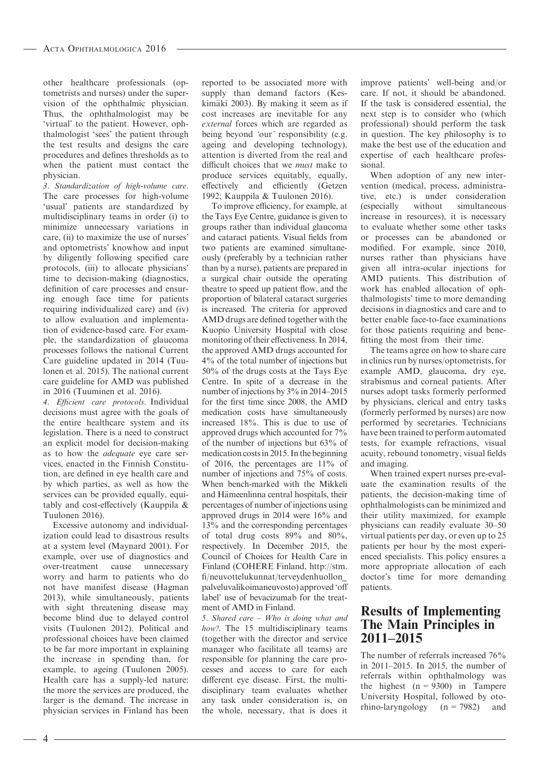other healthcare professionals (optometrists and nurses) under the supervision of the ophthalmic physician. Thus, the ophthalmologist may be 'virtual' to the patient. However, ophthalmologist 'sees' the patient through the test results and designs the care procedures and defines thresholds as to when the patient must contact the physician.

3. Standardization of high-volume care. The care processes for high-volume 'usual' patients are standardized by multidisciplinary teams in order (i) to minimize unnecessary variations in care, (ii) to maximize the use of nurses' and optometrists' knowhow and input by diligently following specified care protocols, (iii) to allocate physicians' time to decision-making (diagnostics, definition of care processes and ensuring enough face time for patients requiring individualized care) and (iv) to allow evaluation and implementation of evidence-based care. For example, the standardization of glaucoma processes follows the national Current Care guideline updated in 2014 (Tuulonen et al. 2015). The national current care guideline for AMD was published in 2016 (Tuuminen et al. 2016).

4. Efficient care protocols. Individual decisions must agree with the goals of the entire healthcare system and its legislation. There is a need to construct an explicit model for decision-making as to how the adequate eye care services, enacted in the Finnish Constitution, are defined in eye health care and by which parties, as well as how the services can be provided equally, equitably and cost-effectively (Kauppila & Tuulonen 2016).

Excessive autonomy and individualization could lead to disastrous results at a system level (Maynard 2001). For example, over use of diagnostics and over-treatment cause unnecessary worry and harm to patients who do not have manifest disease (Hagman 2013), while simultaneously, patients with sight threatening disease may become blind due to delayed control visits (Tuulonen 2012). Political and professional choices have been claimed to be far more important in explaining the increase in spending than, for example, to ageing (Tuulonen 2005). Health care has a supply-led nature: the more the services are produced, the larger is the demand. The increase in physician services in Finland has been

reported to be associated more with supply than demand factors (Keskimäki 2003). By making it seem as if cost increases are inevitable for any external forces which are regarded as being beyond 'our' responsibility (e.g. ageing and developing technology), attention is diverted from the real and difficult choices that we must make to produce services equitably, equally, effectively and efficiently (Getzen 1992; Kauppila & Tuulonen 2016).

To improve efficiency, for example, at the Tays Eye Centre, guidance is given to groups rather than individual glaucoma and cataract patients. Visual fields from two patients are examined simultaneously (preferably by a technician rather than by a nurse), patients are prepared in a surgical chair outside the operating theatre to speed up patient flow, and the proportion of bilateral cataract surgeries is increased. The criteria for approved AMD drugs are defined together with the Kuopio University Hospital with close monitoring of their effectiveness. In 2014, the approved AMD drugs accounted for 4% of the total number of injections but 50% of the drugs costs at the Tays Eye Centre. In spite of a decrease in the number of injections by 3% in 2014–2015 for the first time since 2008, the AMD medication costs have simultaneously increased 18%. This is due to use of approved drugs which accounted for 7% of the number of injections but 63% of medication costs in 2015. In the beginning of 2016, the percentages are 11% of number of injections and 75% of costs. When bench-marked with the Mikkeli and Hämeenlinna central hospitals, their percentages of number of injections using approved drugs in 2014 were 16% and 13% and the corresponding percentages of total drug costs 89% and 80%, respectively. In December 2015, the Council of Choices for Health Care in Finland (COHERE Finland, [http://stm.](http://stm.fi/neuvottelukunnat/terveydenhuollon_palveluvalikoimaneuvosto) [fi/neuvottelukunnat/terveydenhuollon\\_](http://stm.fi/neuvottelukunnat/terveydenhuollon_palveluvalikoimaneuvosto) [palveluvalikoimaneuvosto](http://stm.fi/neuvottelukunnat/terveydenhuollon_palveluvalikoimaneuvosto)) approved 'off label' use of bevacizumab for the treatment of AMD in Finland.

5. Shared care – Who is doing what and how?. The 15 multidisciplinary teams (together with the director and service manager who facilitate all teams) are responsible for planning the care processes and access to care for each different eye disease. First, the multidisciplinary team evaluates whether any task under consideration is, on the whole, necessary, that is does it

improve patients' well-being and/or care. If not, it should be abandoned. If the task is considered essential, the next step is to consider who (which professional) should perform the task in question. The key philosophy is to make the best use of the education and expertise of each healthcare professional.

When adoption of any new intervention (medical, process, administrative, etc.) is under consideration<br>(especially without simultaneous simultaneous increase in resources), it is necessary to evaluate whether some other tasks or processes can be abandoned or modified. For example, since 2010, nurses rather than physicians have given all intra-ocular injections for AMD patients. This distribution of work has enabled allocation of ophthalmologists' time to more demanding decisions in diagnostics and care and to better enable face-to-face examinations for those patients requiring and benefitting the most from their time.

The teams agree on how to share care in clinics run by nurses/optometrists, for example AMD, glaucoma, dry eye, strabismus and corneal patients. After nurses adopt tasks formerly performed by physicians, clerical and entry tasks (formerly performed by nurses) are now performed by secretaries. Technicians have been trained to perform automated tests, for example refractions, visual acuity, rebound tonometry, visual fields and imaging.

When trained expert nurses pre-evaluate the examination results of the patients, the decision-making time of ophthalmologists can be minimized and their utility maximized, for example physicians can readily evaluate 30–50 virtual patients per day, or even up to 25 patients per hour by the most experienced specialists. This policy ensures a more appropriate allocation of each doctor's time for more demanding patients.

### Results of Implementing The Main Principles in 2011–2015

The number of referrals increased 76% in 2011–2015. In 2015, the number of referrals within ophthalmology was the highest  $(n = 9300)$  in Tampere University Hospital, followed by otorhino-laryngology  $(n = 7982)$  and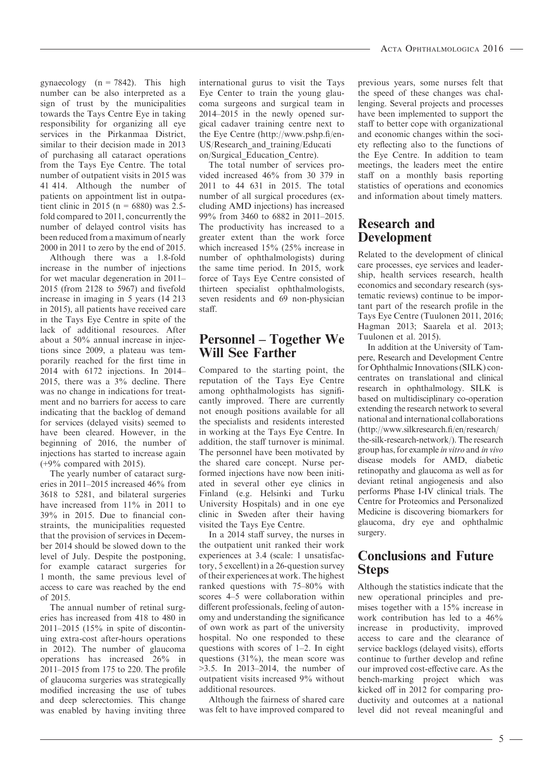gynaecology  $(n = 7842)$ . This high number can be also interpreted as a sign of trust by the municipalities towards the Tays Centre Eye in taking responsibility for organizing all eye services in the Pirkanmaa District, similar to their decision made in 2013 of purchasing all cataract operations from the Tays Eye Centre. The total number of outpatient visits in 2015 was 41 414. Although the number of patients on appointment list in outpatient clinic in 2015 (n = 6880) was 2.5fold compared to 2011, concurrently the number of delayed control visits has been reduced from a maximum of nearly 2000 in 2011 to zero by the end of 2015.

Although there was a 1.8-fold increase in the number of injections for wet macular degeneration in 2011– 2015 (from 2128 to 5967) and fivefold increase in imaging in 5 years (14 213 in 2015), all patients have received care in the Tays Eye Centre in spite of the lack of additional resources. After about a 50% annual increase in injections since 2009, a plateau was temporarily reached for the first time in 2014 with 6172 injections. In 2014– 2015, there was a 3% decline. There was no change in indications for treatment and no barriers for access to care indicating that the backlog of demand for services (delayed visits) seemed to have been cleared. However, in the beginning of 2016, the number of injections has started to increase again  $(+9\%$  compared with 2015).

The yearly number of cataract surgeries in 2011–2015 increased 46% from 3618 to 5281, and bilateral surgeries have increased from  $11\%$  in 2011 to 39% in 2015. Due to financial constraints, the municipalities requested that the provision of services in December 2014 should be slowed down to the level of July. Despite the postponing, for example cataract surgeries for 1 month, the same previous level of access to care was reached by the end of 2015.

The annual number of retinal surgeries has increased from 418 to 480 in 2011–2015 (15% in spite of discontinuing extra-cost after-hours operations in 2012). The number of glaucoma operations has increased 26% in 2011–2015 from 175 to 220. The profile of glaucoma surgeries was strategically modified increasing the use of tubes and deep sclerectomies. This change was enabled by having inviting three international gurus to visit the Tays Eye Center to train the young glaucoma surgeons and surgical team in 2014–2015 in the newly opened surgical cadaver training centre next to the Eye Centre ([http://www.pshp.fi/en-](http://www.pshp.fi/en-US/Research_and_training/Education/Surgical_Education_Centre)[US/Research\\_and\\_training/Educati](http://www.pshp.fi/en-US/Research_and_training/Education/Surgical_Education_Centre) [on/Surgical\\_Education\\_Centre\)](http://www.pshp.fi/en-US/Research_and_training/Education/Surgical_Education_Centre).

The total number of services provided increased 46% from 30 379 in 2011 to 44 631 in 2015. The total number of all surgical procedures (excluding AMD injections) has increased 99% from 3460 to 6882 in 2011–2015. The productivity has increased to a greater extent than the work force which increased 15% (25% increase in number of ophthalmologists) during the same time period. In 2015, work force of Tays Eye Centre consisted of thirteen specialist ophthalmologists, seven residents and 69 non-physician staff.

### Personnel – Together We Will See Farther

Compared to the starting point, the reputation of the Tays Eye Centre among ophthalmologists has significantly improved. There are currently not enough positions available for all the specialists and residents interested in working at the Tays Eye Centre. In addition, the staff turnover is minimal. The personnel have been motivated by the shared care concept. Nurse performed injections have now been initiated in several other eye clinics in Finland (e.g. Helsinki and Turku University Hospitals) and in one eye clinic in Sweden after their having visited the Tays Eye Centre.

In a 2014 staff survey, the nurses in the outpatient unit ranked their work experiences at 3.4 (scale: 1 unsatisfactory, 5 excellent) in a 26-question survey of their experiences at work. The highest ranked questions with 75–80% with scores 4–5 were collaboration within different professionals, feeling of autonomy and understanding the significance of own work as part of the university hospital. No one responded to these questions with scores of 1–2. In eight questions  $(31\%)$ , the mean score was >3.5. In 2013–2014, the number of outpatient visits increased 9% without additional resources.

Although the fairness of shared care was felt to have improved compared to previous years, some nurses felt that the speed of these changes was challenging. Several projects and processes have been implemented to support the staff to better cope with organizational and economic changes within the society reflecting also to the functions of the Eye Centre. In addition to team meetings, the leaders meet the entire staff on a monthly basis reporting statistics of operations and economics and information about timely matters.

### Research and Development

Related to the development of clinical care processes, eye services and leadership, health services research, health economics and secondary research (systematic reviews) continue to be important part of the research profile in the Tays Eye Centre (Tuulonen 2011, 2016; Hagman 2013; Saarela et al. 2013; Tuulonen et al. 2015).

In addition at the University of Tampere, Research and Development Centre for Ophthalmic Innovations (SILK) concentrates on translational and clinical research in ophthalmology. SILK is based on multidisciplinary co-operation extending the research network to several national and international collaborations ([http://www.silkresearch.fi/en/research/](http://www.silkresearch.fi/en/research/the-silk-research-network/) [the-silk-research-network/\)](http://www.silkresearch.fi/en/research/the-silk-research-network/). The research group has, for example in vitro and in vivo disease models for AMD, diabetic retinopathy and glaucoma as well as for deviant retinal angiogenesis and also performs Phase I-IV clinical trials. The Centre for Proteomics and Personalized Medicine is discovering biomarkers for glaucoma, dry eye and ophthalmic surgery.

### Conclusions and Future Steps

Although the statistics indicate that the new operational principles and premises together with a 15% increase in work contribution has led to a 46% increase in productivity, improved access to care and the clearance of service backlogs (delayed visits), efforts continue to further develop and refine our improved cost-effective care. As the bench-marking project which was kicked off in 2012 for comparing productivity and outcomes at a national level did not reveal meaningful and

- 5 -